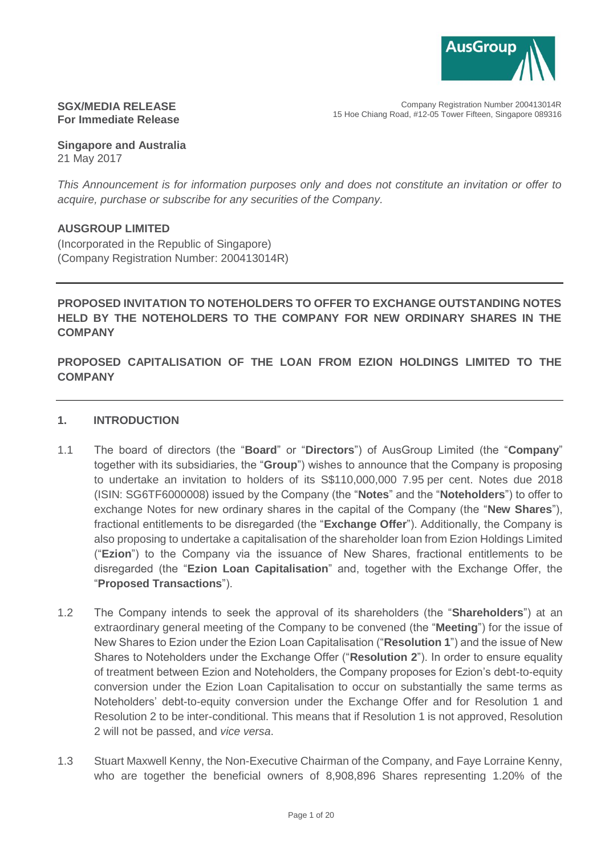

## **SGX/MEDIA RELEASE For Immediate Release**

**Singapore and Australia** 21 May 2017

*This Announcement is for information purposes only and does not constitute an invitation or offer to acquire, purchase or subscribe for any securities of the Company.*

# **AUSGROUP LIMITED**

(Incorporated in the Republic of Singapore) (Company Registration Number: 200413014R)

# **PROPOSED INVITATION TO NOTEHOLDERS TO OFFER TO EXCHANGE OUTSTANDING NOTES HELD BY THE NOTEHOLDERS TO THE COMPANY FOR NEW ORDINARY SHARES IN THE COMPANY**

# **PROPOSED CAPITALISATION OF THE LOAN FROM EZION HOLDINGS LIMITED TO THE COMPANY**

## **1. INTRODUCTION**

- 1.1 The board of directors (the "**Board**" or "**Directors**") of AusGroup Limited (the "**Company**" together with its subsidiaries, the "**Group**") wishes to announce that the Company is proposing to undertake an invitation to holders of its S\$110,000,000 7.95 per cent. Notes due 2018 (ISIN: SG6TF6000008) issued by the Company (the "**Notes**" and the "**Noteholders**") to offer to exchange Notes for new ordinary shares in the capital of the Company (the "**New Shares**"), fractional entitlements to be disregarded (the "**Exchange Offer**"). Additionally, the Company is also proposing to undertake a capitalisation of the shareholder loan from Ezion Holdings Limited ("**Ezion**") to the Company via the issuance of New Shares, fractional entitlements to be disregarded (the "**Ezion Loan Capitalisation**" and, together with the Exchange Offer, the "**Proposed Transactions**").
- 1.2 The Company intends to seek the approval of its shareholders (the "**Shareholders**") at an extraordinary general meeting of the Company to be convened (the "**Meeting**") for the issue of New Shares to Ezion under the Ezion Loan Capitalisation ("**Resolution 1**") and the issue of New Shares to Noteholders under the Exchange Offer ("**Resolution 2**"). In order to ensure equality of treatment between Ezion and Noteholders, the Company proposes for Ezion's debt-to-equity conversion under the Ezion Loan Capitalisation to occur on substantially the same terms as Noteholders' debt-to-equity conversion under the Exchange Offer and for Resolution 1 and Resolution 2 to be inter-conditional. This means that if Resolution 1 is not approved, Resolution 2 will not be passed, and *vice versa*.
- 1.3 Stuart Maxwell Kenny, the Non-Executive Chairman of the Company, and Faye Lorraine Kenny, who are together the beneficial owners of 8,908,896 Shares representing 1.20% of the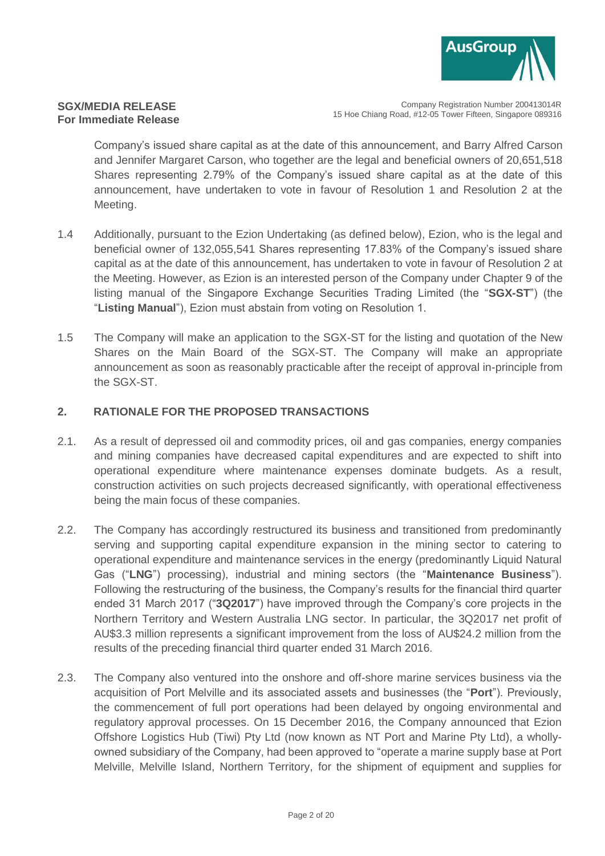

Company Registration Number 200413014R 15 Hoe Chiang Road, #12-05 Tower Fifteen, Singapore 089316

Company's issued share capital as at the date of this announcement, and Barry Alfred Carson and Jennifer Margaret Carson, who together are the legal and beneficial owners of 20,651,518 Shares representing 2.79% of the Company's issued share capital as at the date of this announcement, have undertaken to vote in favour of Resolution 1 and Resolution 2 at the Meeting.

- 1.4 Additionally, pursuant to the Ezion Undertaking (as defined below), Ezion, who is the legal and beneficial owner of 132,055,541 Shares representing 17.83% of the Company's issued share capital as at the date of this announcement, has undertaken to vote in favour of Resolution 2 at the Meeting. However, as Ezion is an interested person of the Company under Chapter 9 of the listing manual of the Singapore Exchange Securities Trading Limited (the "**SGX-ST**") (the "**Listing Manual**"), Ezion must abstain from voting on Resolution 1.
- 1.5 The Company will make an application to the SGX-ST for the listing and quotation of the New Shares on the Main Board of the SGX-ST. The Company will make an appropriate announcement as soon as reasonably practicable after the receipt of approval in-principle from the SGX-ST.

# <span id="page-1-0"></span>**2. RATIONALE FOR THE PROPOSED TRANSACTIONS**

- 2.1. As a result of depressed oil and commodity prices, oil and gas companies, energy companies and mining companies have decreased capital expenditures and are expected to shift into operational expenditure where maintenance expenses dominate budgets. As a result, construction activities on such projects decreased significantly, with operational effectiveness being the main focus of these companies.
- 2.2. The Company has accordingly restructured its business and transitioned from predominantly serving and supporting capital expenditure expansion in the mining sector to catering to operational expenditure and maintenance services in the energy (predominantly Liquid Natural Gas ("**LNG**") processing), industrial and mining sectors (the "**Maintenance Business**"). Following the restructuring of the business, the Company's results for the financial third quarter ended 31 March 2017 ("**3Q2017**") have improved through the Company's core projects in the Northern Territory and Western Australia LNG sector. In particular, the 3Q2017 net profit of AU\$3.3 million represents a significant improvement from the loss of AU\$24.2 million from the results of the preceding financial third quarter ended 31 March 2016.
- 2.3. The Company also ventured into the onshore and off-shore marine services business via the acquisition of Port Melville and its associated assets and businesses (the "**Port**"). Previously, the commencement of full port operations had been delayed by ongoing environmental and regulatory approval processes. On 15 December 2016, the Company announced that Ezion Offshore Logistics Hub (Tiwi) Pty Ltd (now known as NT Port and Marine Pty Ltd), a whollyowned subsidiary of the Company, had been approved to "operate a marine supply base at Port Melville, Melville Island, Northern Territory, for the shipment of equipment and supplies for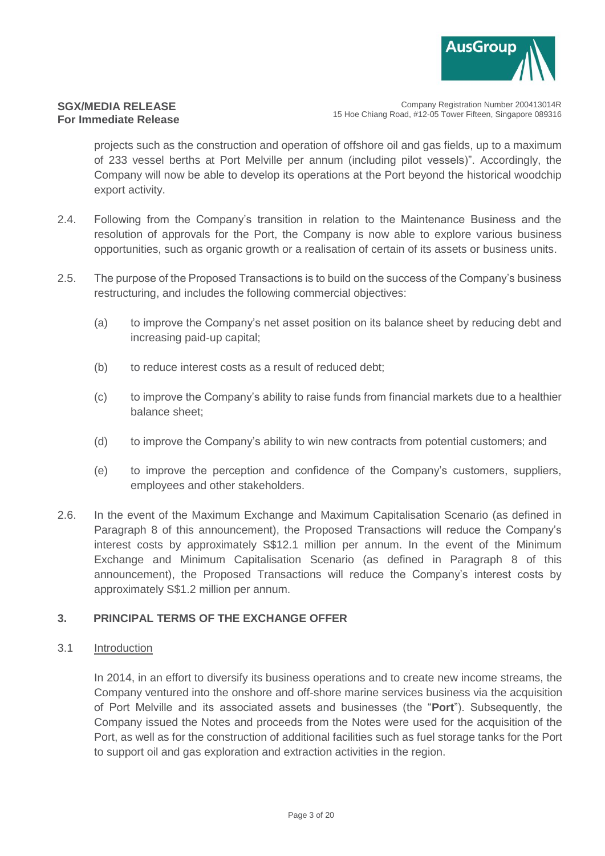

Company Registration Number 200413014R 15 Hoe Chiang Road, #12-05 Tower Fifteen, Singapore 089316

projects such as the construction and operation of offshore oil and gas fields, up to a maximum of 233 vessel berths at Port Melville per annum (including pilot vessels)". Accordingly, the Company will now be able to develop its operations at the Port beyond the historical woodchip export activity.

- 2.4. Following from the Company's transition in relation to the Maintenance Business and the resolution of approvals for the Port, the Company is now able to explore various business opportunities, such as organic growth or a realisation of certain of its assets or business units.
- 2.5. The purpose of the Proposed Transactions is to build on the success of the Company's business restructuring, and includes the following commercial objectives:
	- (a) to improve the Company's net asset position on its balance sheet by reducing debt and increasing paid-up capital;
	- (b) to reduce interest costs as a result of reduced debt;
	- (c) to improve the Company's ability to raise funds from financial markets due to a healthier balance sheet;
	- (d) to improve the Company's ability to win new contracts from potential customers; and
	- (e) to improve the perception and confidence of the Company's customers, suppliers, employees and other stakeholders.
- 2.6. In the event of the Maximum Exchange and Maximum Capitalisation Scenario (as defined in Paragraph [8](#page-11-0) of this announcement), the Proposed Transactions will reduce the Company's interest costs by approximately S\$12.1 million per annum. In the event of the Minimum Exchange and Minimum Capitalisation Scenario (as defined in Paragraph [8](#page-11-0) of this announcement), the Proposed Transactions will reduce the Company's interest costs by approximately S\$1.2 million per annum.

# **3. PRINCIPAL TERMS OF THE EXCHANGE OFFER**

#### 3.1 Introduction

In 2014, in an effort to diversify its business operations and to create new income streams, the Company ventured into the onshore and off-shore marine services business via the acquisition of Port Melville and its associated assets and businesses (the "**Port**"). Subsequently, the Company issued the Notes and proceeds from the Notes were used for the acquisition of the Port, as well as for the construction of additional facilities such as fuel storage tanks for the Port to support oil and gas exploration and extraction activities in the region.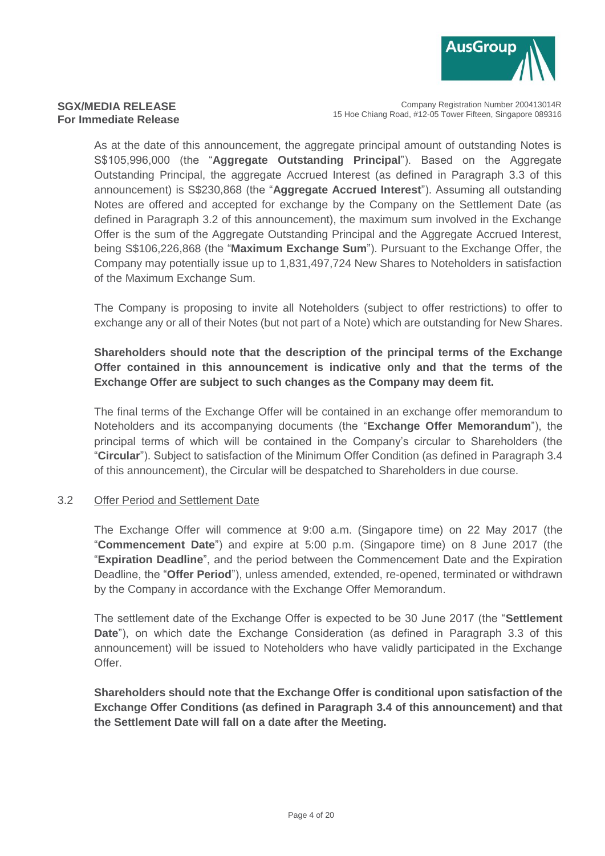

Company Registration Number 200413014R 15 Hoe Chiang Road, #12-05 Tower Fifteen, Singapore 089316

As at the date of this announcement, the aggregate principal amount of outstanding Notes is S\$105,996,000 (the "**Aggregate Outstanding Principal**"). Based on the Aggregate Outstanding Principal, the aggregate Accrued Interest (as defined in Paragraph [3.3](#page-4-0) of this announcement) is S\$230,868 (the "**Aggregate Accrued Interest**"). Assuming all outstanding Notes are offered and accepted for exchange by the Company on the Settlement Date (as defined in Paragraph [3.2](#page-3-0) of this announcement), the maximum sum involved in the Exchange Offer is the sum of the Aggregate Outstanding Principal and the Aggregate Accrued Interest, being S\$106,226,868 (the "**Maximum Exchange Sum**"). Pursuant to the Exchange Offer, the Company may potentially issue up to 1,831,497,724 New Shares to Noteholders in satisfaction of the Maximum Exchange Sum.

The Company is proposing to invite all Noteholders (subject to offer restrictions) to offer to exchange any or all of their Notes (but not part of a Note) which are outstanding for New Shares.

# **Shareholders should note that the description of the principal terms of the Exchange Offer contained in this announcement is indicative only and that the terms of the Exchange Offer are subject to such changes as the Company may deem fit.**

The final terms of the Exchange Offer will be contained in an exchange offer memorandum to Noteholders and its accompanying documents (the "**Exchange Offer Memorandum**"), the principal terms of which will be contained in the Company's circular to Shareholders (the "**Circular**"). Subject to satisfaction of the Minimum Offer Condition (as defined in Paragraph [3.4](#page-5-0) of this announcement), the Circular will be despatched to Shareholders in due course.

#### <span id="page-3-0"></span>3.2 Offer Period and Settlement Date

The Exchange Offer will commence at 9:00 a.m. (Singapore time) on 22 May 2017 (the "**Commencement Date**") and expire at 5:00 p.m. (Singapore time) on 8 June 2017 (the "**Expiration Deadline**", and the period between the Commencement Date and the Expiration Deadline, the "**Offer Period**"), unless amended, extended, re-opened, terminated or withdrawn by the Company in accordance with the Exchange Offer Memorandum.

The settlement date of the Exchange Offer is expected to be 30 June 2017 (the "**Settlement Date**"), on which date the Exchange Consideration (as defined in Paragraph [3.3](#page-4-0) of this announcement) will be issued to Noteholders who have validly participated in the Exchange Offer.

**Shareholders should note that the Exchange Offer is conditional upon satisfaction of the Exchange Offer Conditions (as defined in Paragraph [3.4](#page-5-0) of this announcement) and that the Settlement Date will fall on a date after the Meeting.**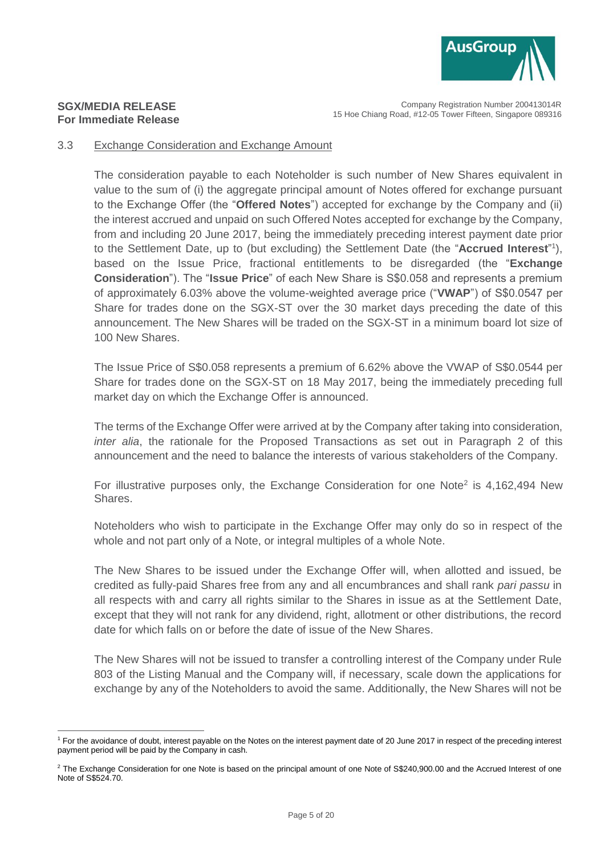

Company Registration Number 200413014R 15 Hoe Chiang Road, #12-05 Tower Fifteen, Singapore 089316

#### <span id="page-4-0"></span>3.3 Exchange Consideration and Exchange Amount

The consideration payable to each Noteholder is such number of New Shares equivalent in value to the sum of (i) the aggregate principal amount of Notes offered for exchange pursuant to the Exchange Offer (the "**Offered Notes**") accepted for exchange by the Company and (ii) the interest accrued and unpaid on such Offered Notes accepted for exchange by the Company, from and including 20 June 2017, being the immediately preceding interest payment date prior to the Settlement Date, up to (but excluding) the Settlement Date (the "**Accrued Interest**" 1 ), based on the Issue Price, fractional entitlements to be disregarded (the "**Exchange Consideration**"). The "**Issue Price**" of each New Share is S\$0.058 and represents a premium of approximately 6.03% above the volume-weighted average price ("**VWAP**") of S\$0.0547 per Share for trades done on the SGX-ST over the 30 market days preceding the date of this announcement. The New Shares will be traded on the SGX-ST in a minimum board lot size of 100 New Shares.

The Issue Price of S\$0.058 represents a premium of 6.62% above the VWAP of S\$0.0544 per Share for trades done on the SGX-ST on 18 May 2017, being the immediately preceding full market day on which the Exchange Offer is announced.

The terms of the Exchange Offer were arrived at by the Company after taking into consideration, *inter alia*, the rationale for the Proposed Transactions as set out in Paragraph [2](#page-1-0) of this announcement and the need to balance the interests of various stakeholders of the Company.

For illustrative purposes only, the Exchange Consideration for one Note<sup>2</sup> is  $4,162,494$  New Shares.

Noteholders who wish to participate in the Exchange Offer may only do so in respect of the whole and not part only of a Note, or integral multiples of a whole Note.

The New Shares to be issued under the Exchange Offer will, when allotted and issued, be credited as fully-paid Shares free from any and all encumbrances and shall rank *pari passu* in all respects with and carry all rights similar to the Shares in issue as at the Settlement Date, except that they will not rank for any dividend, right, allotment or other distributions, the record date for which falls on or before the date of issue of the New Shares.

The New Shares will not be issued to transfer a controlling interest of the Company under Rule 803 of the Listing Manual and the Company will, if necessary, scale down the applications for exchange by any of the Noteholders to avoid the same. Additionally, the New Shares will not be

 $\overline{a}$ <sup>1</sup> For the avoidance of doubt, interest payable on the Notes on the interest payment date of 20 June 2017 in respect of the preceding interest payment period will be paid by the Company in cash.

<sup>&</sup>lt;sup>2</sup> The Exchange Consideration for one Note is based on the principal amount of one Note of S\$240,900.00 and the Accrued Interest of one Note of S\$524.70.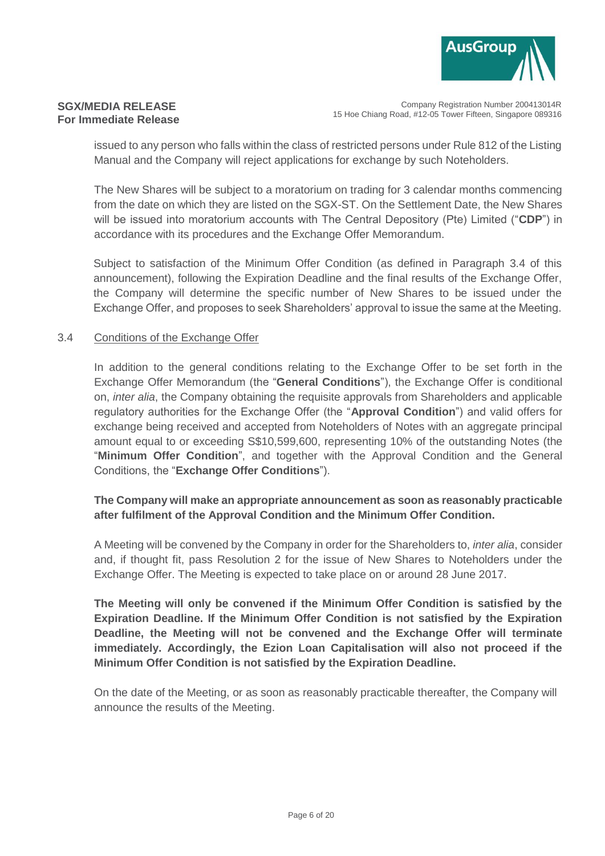

Company Registration Number 200413014R 15 Hoe Chiang Road, #12-05 Tower Fifteen, Singapore 089316

issued to any person who falls within the class of restricted persons under Rule 812 of the Listing Manual and the Company will reject applications for exchange by such Noteholders.

The New Shares will be subject to a moratorium on trading for 3 calendar months commencing from the date on which they are listed on the SGX-ST. On the Settlement Date, the New Shares will be issued into moratorium accounts with The Central Depository (Pte) Limited ("**CDP**") in accordance with its procedures and the Exchange Offer Memorandum.

Subject to satisfaction of the Minimum Offer Condition (as defined in Paragraph [3.4](#page-5-0) of this announcement), following the Expiration Deadline and the final results of the Exchange Offer, the Company will determine the specific number of New Shares to be issued under the Exchange Offer, and proposes to seek Shareholders' approval to issue the same at the Meeting.

#### <span id="page-5-0"></span>3.4 Conditions of the Exchange Offer

In addition to the general conditions relating to the Exchange Offer to be set forth in the Exchange Offer Memorandum (the "**General Conditions**"), the Exchange Offer is conditional on, *inter alia*, the Company obtaining the requisite approvals from Shareholders and applicable regulatory authorities for the Exchange Offer (the "**Approval Condition**") and valid offers for exchange being received and accepted from Noteholders of Notes with an aggregate principal amount equal to or exceeding S\$10,599,600, representing 10% of the outstanding Notes (the "**Minimum Offer Condition**", and together with the Approval Condition and the General Conditions, the "**Exchange Offer Conditions**").

# **The Company will make an appropriate announcement as soon as reasonably practicable after fulfilment of the Approval Condition and the Minimum Offer Condition.**

A Meeting will be convened by the Company in order for the Shareholders to, *inter alia*, consider and, if thought fit, pass Resolution 2 for the issue of New Shares to Noteholders under the Exchange Offer. The Meeting is expected to take place on or around 28 June 2017.

**The Meeting will only be convened if the Minimum Offer Condition is satisfied by the Expiration Deadline. If the Minimum Offer Condition is not satisfied by the Expiration Deadline, the Meeting will not be convened and the Exchange Offer will terminate immediately. Accordingly, the Ezion Loan Capitalisation will also not proceed if the Minimum Offer Condition is not satisfied by the Expiration Deadline.**

On the date of the Meeting, or as soon as reasonably practicable thereafter, the Company will announce the results of the Meeting.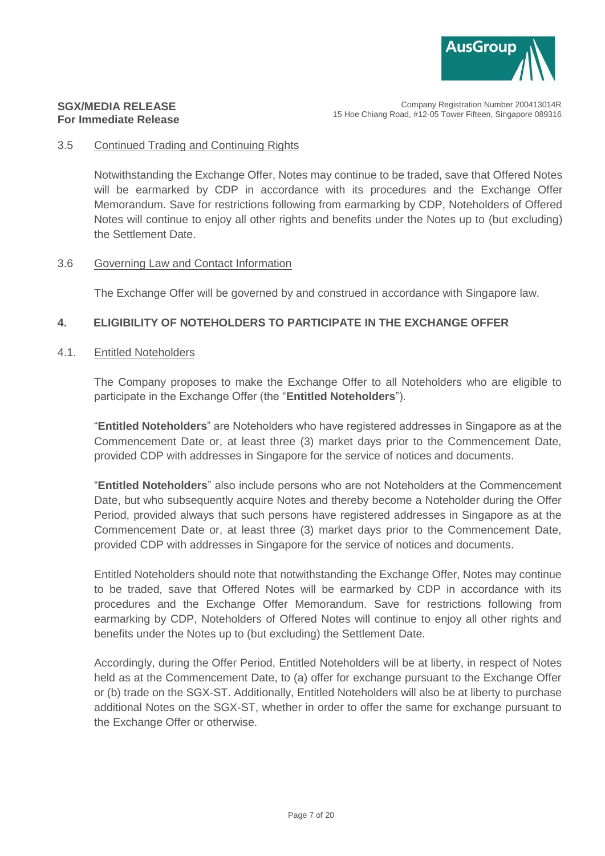

#### 3.5 Continued Trading and Continuing Rights

Notwithstanding the Exchange Offer, Notes may continue to be traded, save that Offered Notes will be earmarked by CDP in accordance with its procedures and the Exchange Offer Memorandum. Save for restrictions following from earmarking by CDP, Noteholders of Offered Notes will continue to enjoy all other rights and benefits under the Notes up to (but excluding) the Settlement Date.

## 3.6 Governing Law and Contact Information

The Exchange Offer will be governed by and construed in accordance with Singapore law.

# **4. ELIGIBILITY OF NOTEHOLDERS TO PARTICIPATE IN THE EXCHANGE OFFER**

#### 4.1. Entitled Noteholders

The Company proposes to make the Exchange Offer to all Noteholders who are eligible to participate in the Exchange Offer (the "**Entitled Noteholders**").

"**Entitled Noteholders**" are Noteholders who have registered addresses in Singapore as at the Commencement Date or, at least three (3) market days prior to the Commencement Date, provided CDP with addresses in Singapore for the service of notices and documents.

"**Entitled Noteholders**" also include persons who are not Noteholders at the Commencement Date, but who subsequently acquire Notes and thereby become a Noteholder during the Offer Period, provided always that such persons have registered addresses in Singapore as at the Commencement Date or, at least three (3) market days prior to the Commencement Date, provided CDP with addresses in Singapore for the service of notices and documents.

Entitled Noteholders should note that notwithstanding the Exchange Offer, Notes may continue to be traded, save that Offered Notes will be earmarked by CDP in accordance with its procedures and the Exchange Offer Memorandum. Save for restrictions following from earmarking by CDP, Noteholders of Offered Notes will continue to enjoy all other rights and benefits under the Notes up to (but excluding) the Settlement Date.

Accordingly, during the Offer Period, Entitled Noteholders will be at liberty, in respect of Notes held as at the Commencement Date, to (a) offer for exchange pursuant to the Exchange Offer or (b) trade on the SGX-ST. Additionally, Entitled Noteholders will also be at liberty to purchase additional Notes on the SGX-ST, whether in order to offer the same for exchange pursuant to the Exchange Offer or otherwise.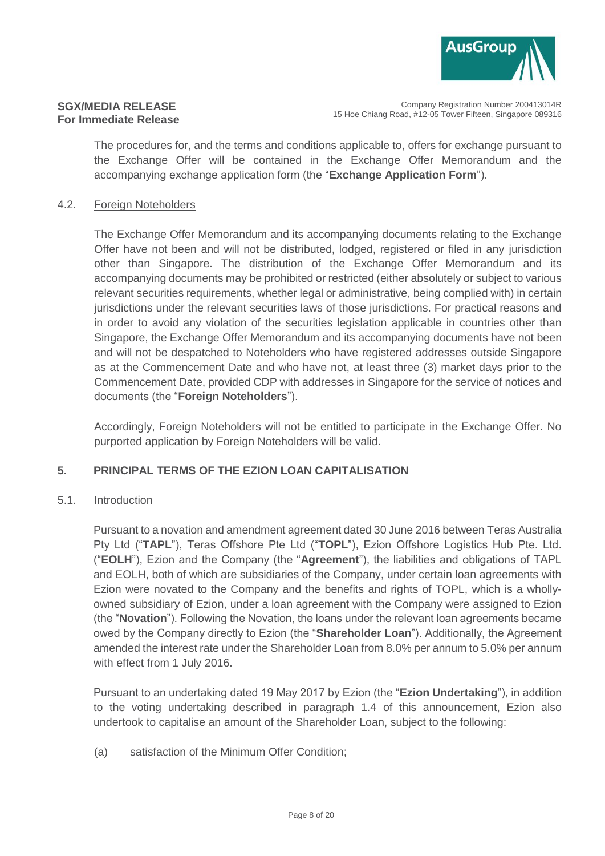

Company Registration Number 200413014R 15 Hoe Chiang Road, #12-05 Tower Fifteen, Singapore 089316

The procedures for, and the terms and conditions applicable to, offers for exchange pursuant to the Exchange Offer will be contained in the Exchange Offer Memorandum and the accompanying exchange application form (the "**Exchange Application Form**").

### 4.2. Foreign Noteholders

The Exchange Offer Memorandum and its accompanying documents relating to the Exchange Offer have not been and will not be distributed, lodged, registered or filed in any jurisdiction other than Singapore. The distribution of the Exchange Offer Memorandum and its accompanying documents may be prohibited or restricted (either absolutely or subject to various relevant securities requirements, whether legal or administrative, being complied with) in certain jurisdictions under the relevant securities laws of those jurisdictions. For practical reasons and in order to avoid any violation of the securities legislation applicable in countries other than Singapore, the Exchange Offer Memorandum and its accompanying documents have not been and will not be despatched to Noteholders who have registered addresses outside Singapore as at the Commencement Date and who have not, at least three (3) market days prior to the Commencement Date, provided CDP with addresses in Singapore for the service of notices and documents (the "**Foreign Noteholders**").

Accordingly, Foreign Noteholders will not be entitled to participate in the Exchange Offer. No purported application by Foreign Noteholders will be valid.

# **5. PRINCIPAL TERMS OF THE EZION LOAN CAPITALISATION**

#### 5.1. Introduction

Pursuant to a novation and amendment agreement dated 30 June 2016 between Teras Australia Pty Ltd ("**TAPL**"), Teras Offshore Pte Ltd ("**TOPL**"), Ezion Offshore Logistics Hub Pte. Ltd. ("**EOLH**"), Ezion and the Company (the "**Agreement**"), the liabilities and obligations of TAPL and EOLH, both of which are subsidiaries of the Company, under certain loan agreements with Ezion were novated to the Company and the benefits and rights of TOPL, which is a whollyowned subsidiary of Ezion, under a loan agreement with the Company were assigned to Ezion (the "**Novation**"). Following the Novation, the loans under the relevant loan agreements became owed by the Company directly to Ezion (the "**Shareholder Loan**"). Additionally, the Agreement amended the interest rate under the Shareholder Loan from 8.0% per annum to 5.0% per annum with effect from 1 July 2016.

Pursuant to an undertaking dated 19 May 2017 by Ezion (the "**Ezion Undertaking**"), in addition to the voting undertaking described in paragraph 1.4 of this announcement, Ezion also undertook to capitalise an amount of the Shareholder Loan, subject to the following:

(a) satisfaction of the Minimum Offer Condition;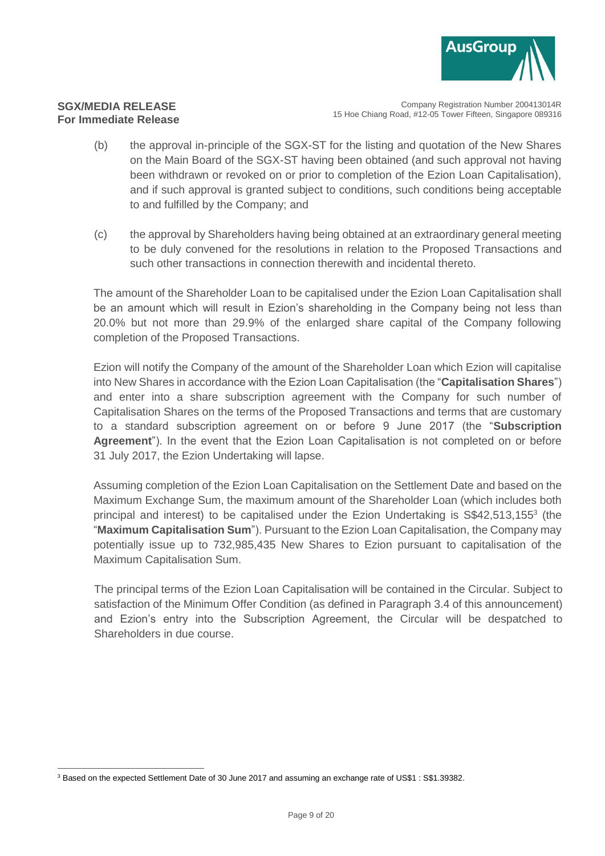

Company Registration Number 200413014R 15 Hoe Chiang Road, #12-05 Tower Fifteen, Singapore 089316

- (b) the approval in-principle of the SGX-ST for the listing and quotation of the New Shares on the Main Board of the SGX-ST having been obtained (and such approval not having been withdrawn or revoked on or prior to completion of the Ezion Loan Capitalisation), and if such approval is granted subject to conditions, such conditions being acceptable to and fulfilled by the Company; and
- (c) the approval by Shareholders having being obtained at an extraordinary general meeting to be duly convened for the resolutions in relation to the Proposed Transactions and such other transactions in connection therewith and incidental thereto.

The amount of the Shareholder Loan to be capitalised under the Ezion Loan Capitalisation shall be an amount which will result in Ezion's shareholding in the Company being not less than 20.0% but not more than 29.9% of the enlarged share capital of the Company following completion of the Proposed Transactions.

Ezion will notify the Company of the amount of the Shareholder Loan which Ezion will capitalise into New Shares in accordance with the Ezion Loan Capitalisation (the "**Capitalisation Shares**") and enter into a share subscription agreement with the Company for such number of Capitalisation Shares on the terms of the Proposed Transactions and terms that are customary to a standard subscription agreement on or before 9 June 2017 (the "**Subscription Agreement**"). In the event that the Ezion Loan Capitalisation is not completed on or before 31 July 2017, the Ezion Undertaking will lapse.

Assuming completion of the Ezion Loan Capitalisation on the Settlement Date and based on the Maximum Exchange Sum, the maximum amount of the Shareholder Loan (which includes both principal and interest) to be capitalised under the Ezion Undertaking is S\$42,513,155<sup>3</sup> (the "**Maximum Capitalisation Sum**"). Pursuant to the Ezion Loan Capitalisation, the Company may potentially issue up to 732,985,435 New Shares to Ezion pursuant to capitalisation of the Maximum Capitalisation Sum.

The principal terms of the Ezion Loan Capitalisation will be contained in the Circular. Subject to satisfaction of the Minimum Offer Condition (as defined in Paragraph [3.4](#page-5-0) of this announcement) and Ezion's entry into the Subscription Agreement, the Circular will be despatched to Shareholders in due course.

 $\overline{a}$ <sup>3</sup> Based on the expected Settlement Date of 30 June 2017 and assuming an exchange rate of US\$1 : S\$1.39382.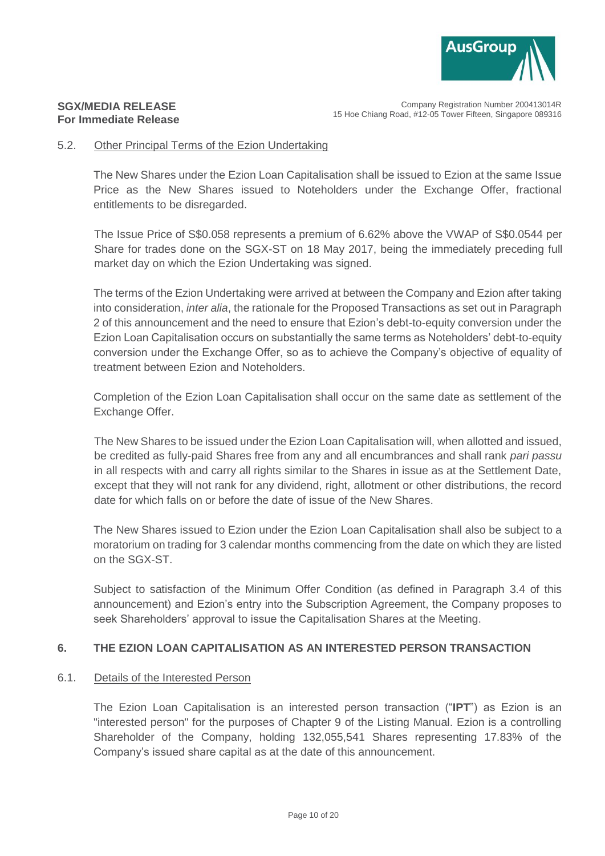

Company Registration Number 200413014R 15 Hoe Chiang Road, #12-05 Tower Fifteen, Singapore 089316

#### 5.2. Other Principal Terms of the Ezion Undertaking

The New Shares under the Ezion Loan Capitalisation shall be issued to Ezion at the same Issue Price as the New Shares issued to Noteholders under the Exchange Offer, fractional entitlements to be disregarded.

The Issue Price of S\$0.058 represents a premium of 6.62% above the VWAP of S\$0.0544 per Share for trades done on the SGX-ST on 18 May 2017, being the immediately preceding full market day on which the Ezion Undertaking was signed.

The terms of the Ezion Undertaking were arrived at between the Company and Ezion after taking into consideration, *inter alia*, the rationale for the Proposed Transactions as set out in Paragraph [2](#page-1-0) of this announcement and the need to ensure that Ezion's debt-to-equity conversion under the Ezion Loan Capitalisation occurs on substantially the same terms as Noteholders' debt-to-equity conversion under the Exchange Offer, so as to achieve the Company's objective of equality of treatment between Ezion and Noteholders.

Completion of the Ezion Loan Capitalisation shall occur on the same date as settlement of the Exchange Offer.

The New Shares to be issued under the Ezion Loan Capitalisation will, when allotted and issued, be credited as fully-paid Shares free from any and all encumbrances and shall rank *pari passu* in all respects with and carry all rights similar to the Shares in issue as at the Settlement Date, except that they will not rank for any dividend, right, allotment or other distributions, the record date for which falls on or before the date of issue of the New Shares.

The New Shares issued to Ezion under the Ezion Loan Capitalisation shall also be subject to a moratorium on trading for 3 calendar months commencing from the date on which they are listed on the SGX-ST.

Subject to satisfaction of the Minimum Offer Condition (as defined in Paragraph [3.4](#page-5-0) of this announcement) and Ezion's entry into the Subscription Agreement, the Company proposes to seek Shareholders' approval to issue the Capitalisation Shares at the Meeting.

#### **6. THE EZION LOAN CAPITALISATION AS AN INTERESTED PERSON TRANSACTION**

#### 6.1. Details of the Interested Person

The Ezion Loan Capitalisation is an interested person transaction ("**IPT**") as Ezion is an "interested person" for the purposes of Chapter 9 of the Listing Manual. Ezion is a controlling Shareholder of the Company, holding 132,055,541 Shares representing 17.83% of the Company's issued share capital as at the date of this announcement.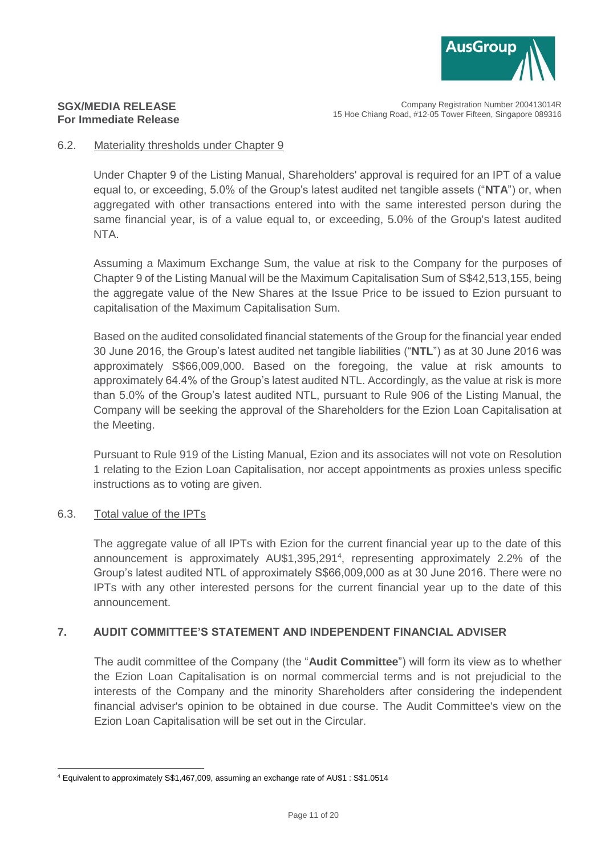

## **SGX/MEDIA RELEASE For Immediate Release**

### 6.2. Materiality thresholds under Chapter 9

Under Chapter 9 of the Listing Manual, Shareholders' approval is required for an IPT of a value equal to, or exceeding, 5.0% of the Group's latest audited net tangible assets ("**NTA**") or, when aggregated with other transactions entered into with the same interested person during the same financial year, is of a value equal to, or exceeding, 5.0% of the Group's latest audited NTA.

Assuming a Maximum Exchange Sum, the value at risk to the Company for the purposes of Chapter 9 of the Listing Manual will be the Maximum Capitalisation Sum of S\$42,513,155, being the aggregate value of the New Shares at the Issue Price to be issued to Ezion pursuant to capitalisation of the Maximum Capitalisation Sum.

Based on the audited consolidated financial statements of the Group for the financial year ended 30 June 2016, the Group's latest audited net tangible liabilities ("**NTL**") as at 30 June 2016 was approximately S\$66,009,000. Based on the foregoing, the value at risk amounts to approximately 64.4% of the Group's latest audited NTL. Accordingly, as the value at risk is more than 5.0% of the Group's latest audited NTL, pursuant to Rule 906 of the Listing Manual, the Company will be seeking the approval of the Shareholders for the Ezion Loan Capitalisation at the Meeting.

Pursuant to Rule 919 of the Listing Manual, Ezion and its associates will not vote on Resolution 1 relating to the Ezion Loan Capitalisation, nor accept appointments as proxies unless specific instructions as to voting are given.

# 6.3. Total value of the IPTs

The aggregate value of all IPTs with Ezion for the current financial year up to the date of this announcement is approximately AU\$1,395,291<sup>4</sup>, representing approximately 2.2% of the Group's latest audited NTL of approximately S\$66,009,000 as at 30 June 2016. There were no IPTs with any other interested persons for the current financial year up to the date of this announcement.

# **7. AUDIT COMMITTEE'S STATEMENT AND INDEPENDENT FINANCIAL ADVISER**

The audit committee of the Company (the "**Audit Committee**") will form its view as to whether the Ezion Loan Capitalisation is on normal commercial terms and is not prejudicial to the interests of the Company and the minority Shareholders after considering the independent financial adviser's opinion to be obtained in due course. The Audit Committee's view on the Ezion Loan Capitalisation will be set out in the Circular.

 $\overline{a}$ <sup>4</sup> Equivalent to approximately S\$1,467,009, assuming an exchange rate of AU\$1 : S\$1.0514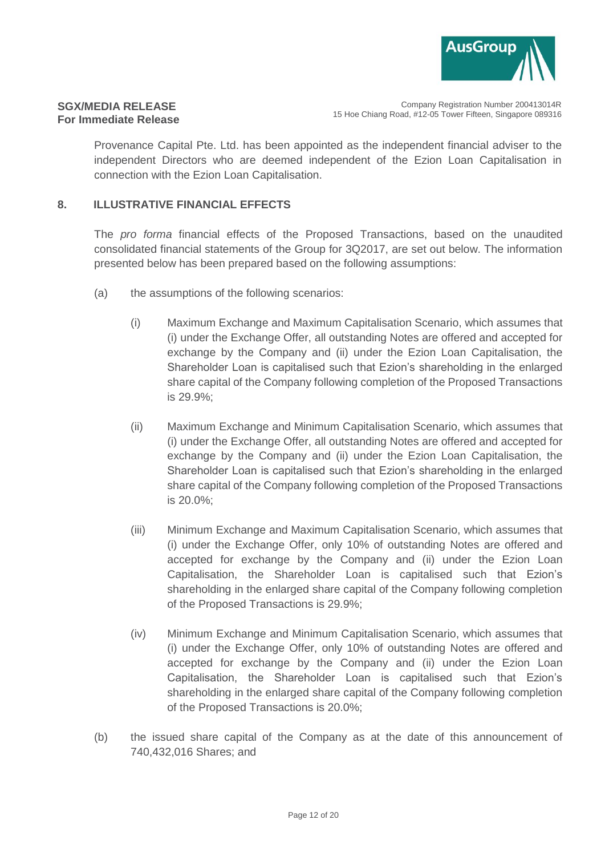

Company Registration Number 200413014R 15 Hoe Chiang Road, #12-05 Tower Fifteen, Singapore 089316

Provenance Capital Pte. Ltd. has been appointed as the independent financial adviser to the independent Directors who are deemed independent of the Ezion Loan Capitalisation in connection with the Ezion Loan Capitalisation.

## <span id="page-11-0"></span>**8. ILLUSTRATIVE FINANCIAL EFFECTS**

The *pro forma* financial effects of the Proposed Transactions, based on the unaudited consolidated financial statements of the Group for 3Q2017, are set out below. The information presented below has been prepared based on the following assumptions:

- (a) the assumptions of the following scenarios:
	- (i) Maximum Exchange and Maximum Capitalisation Scenario, which assumes that (i) under the Exchange Offer, all outstanding Notes are offered and accepted for exchange by the Company and (ii) under the Ezion Loan Capitalisation, the Shareholder Loan is capitalised such that Ezion's shareholding in the enlarged share capital of the Company following completion of the Proposed Transactions is 29.9%;
	- (ii) Maximum Exchange and Minimum Capitalisation Scenario, which assumes that (i) under the Exchange Offer, all outstanding Notes are offered and accepted for exchange by the Company and (ii) under the Ezion Loan Capitalisation, the Shareholder Loan is capitalised such that Ezion's shareholding in the enlarged share capital of the Company following completion of the Proposed Transactions is 20.0%;
	- (iii) Minimum Exchange and Maximum Capitalisation Scenario, which assumes that (i) under the Exchange Offer, only 10% of outstanding Notes are offered and accepted for exchange by the Company and (ii) under the Ezion Loan Capitalisation, the Shareholder Loan is capitalised such that Ezion's shareholding in the enlarged share capital of the Company following completion of the Proposed Transactions is 29.9%;
	- (iv) Minimum Exchange and Minimum Capitalisation Scenario, which assumes that (i) under the Exchange Offer, only 10% of outstanding Notes are offered and accepted for exchange by the Company and (ii) under the Ezion Loan Capitalisation, the Shareholder Loan is capitalised such that Ezion's shareholding in the enlarged share capital of the Company following completion of the Proposed Transactions is 20.0%;
- (b) the issued share capital of the Company as at the date of this announcement of 740,432,016 Shares; and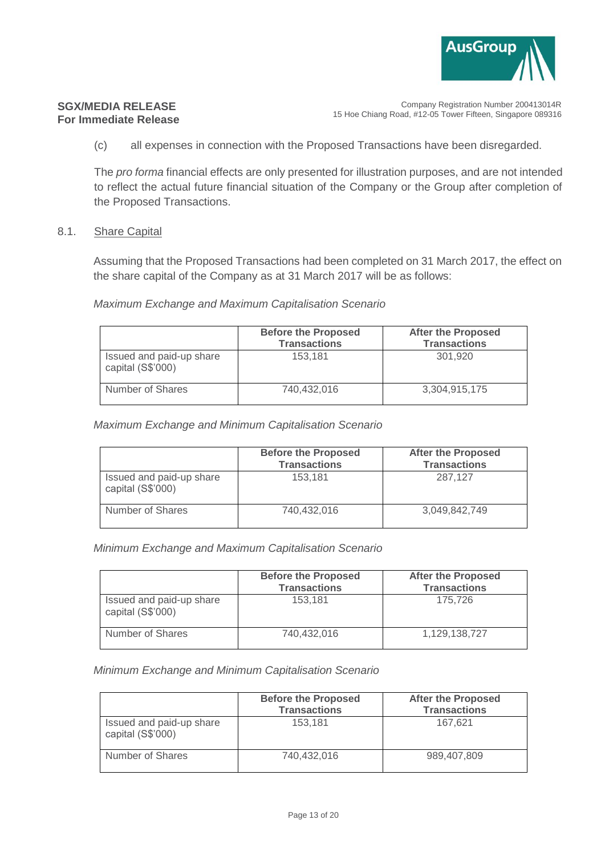

Company Registration Number 200413014R 15 Hoe Chiang Road, #12-05 Tower Fifteen, Singapore 089316

(c) all expenses in connection with the Proposed Transactions have been disregarded.

The *pro forma* financial effects are only presented for illustration purposes, and are not intended to reflect the actual future financial situation of the Company or the Group after completion of the Proposed Transactions.

#### 8.1. Share Capital

Assuming that the Proposed Transactions had been completed on 31 March 2017, the effect on the share capital of the Company as at 31 March 2017 will be as follows:

#### *Maximum Exchange and Maximum Capitalisation Scenario*

|                                               | <b>Before the Proposed</b><br><b>Transactions</b> | <b>After the Proposed</b><br><b>Transactions</b> |
|-----------------------------------------------|---------------------------------------------------|--------------------------------------------------|
| Issued and paid-up share<br>capital (S\$'000) | 153.181                                           | 301.920                                          |
| Number of Shares                              | 740.432.016                                       | 3,304,915,175                                    |

#### *Maximum Exchange and Minimum Capitalisation Scenario*

|                                               | <b>Before the Proposed</b><br><b>Transactions</b> | <b>After the Proposed</b><br><b>Transactions</b> |
|-----------------------------------------------|---------------------------------------------------|--------------------------------------------------|
| Issued and paid-up share<br>capital (S\$'000) | 153.181                                           | 287.127                                          |
| Number of Shares                              | 740,432,016                                       | 3,049,842,749                                    |

#### *Minimum Exchange and Maximum Capitalisation Scenario*

|                                               | <b>Before the Proposed</b><br><b>Transactions</b> | <b>After the Proposed</b><br><b>Transactions</b> |
|-----------------------------------------------|---------------------------------------------------|--------------------------------------------------|
| Issued and paid-up share<br>capital (S\$'000) | 153.181                                           | 175.726                                          |
| Number of Shares                              | 740.432.016                                       | 1,129,138,727                                    |

#### *Minimum Exchange and Minimum Capitalisation Scenario*

|                                               | <b>Before the Proposed</b><br><b>Transactions</b> | <b>After the Proposed</b><br><b>Transactions</b> |
|-----------------------------------------------|---------------------------------------------------|--------------------------------------------------|
| Issued and paid-up share<br>capital (S\$'000) | 153.181                                           | 167.621                                          |
| Number of Shares                              | 740.432.016                                       | 989.407.809                                      |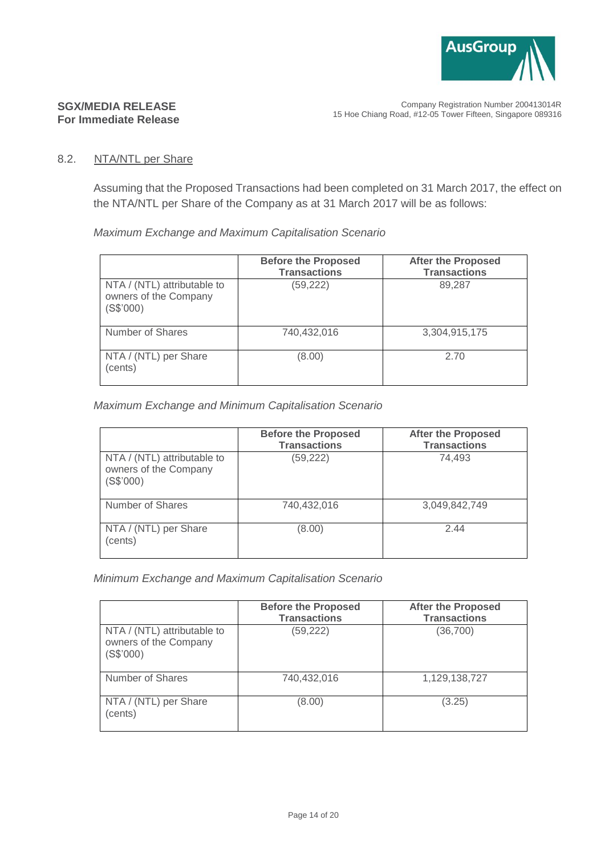

## **SGX/MEDIA RELEASE For Immediate Release**

## 8.2. NTA/NTL per Share

Assuming that the Proposed Transactions had been completed on 31 March 2017, the effect on the NTA/NTL per Share of the Company as at 31 March 2017 will be as follows:

*Maximum Exchange and Maximum Capitalisation Scenario*

|                                                                   | <b>Before the Proposed</b><br><b>Transactions</b> | <b>After the Proposed</b><br><b>Transactions</b> |
|-------------------------------------------------------------------|---------------------------------------------------|--------------------------------------------------|
| NTA / (NTL) attributable to<br>owners of the Company<br>(S\$'000) | (59, 222)                                         | 89,287                                           |
| Number of Shares                                                  | 740,432,016                                       | 3,304,915,175                                    |
| NTA / (NTL) per Share<br>(cents)                                  | (8.00)                                            | 2.70                                             |

## *Maximum Exchange and Minimum Capitalisation Scenario*

|                                                                   | <b>Before the Proposed</b><br><b>Transactions</b> | <b>After the Proposed</b><br><b>Transactions</b> |
|-------------------------------------------------------------------|---------------------------------------------------|--------------------------------------------------|
| NTA / (NTL) attributable to<br>owners of the Company<br>(S\$'000) | (59, 222)                                         | 74.493                                           |
| Number of Shares                                                  | 740,432,016                                       | 3,049,842,749                                    |
| NTA / (NTL) per Share<br>(cents)                                  | (8.00)                                            | 2.44                                             |

*Minimum Exchange and Maximum Capitalisation Scenario*

|                                                                   | <b>Before the Proposed</b><br><b>Transactions</b> | <b>After the Proposed</b><br><b>Transactions</b> |
|-------------------------------------------------------------------|---------------------------------------------------|--------------------------------------------------|
| NTA / (NTL) attributable to<br>owners of the Company<br>(S\$'000) | (59, 222)                                         | (36,700)                                         |
| Number of Shares                                                  | 740,432,016                                       | 1,129,138,727                                    |
| NTA / (NTL) per Share<br>(cents)                                  | (8.00)                                            | (3.25)                                           |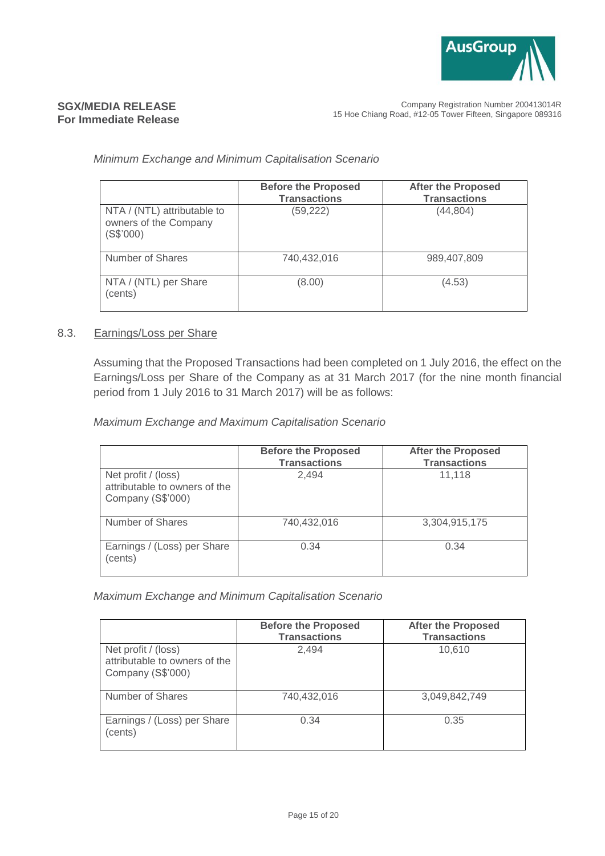

Company Registration Number 200413014R 15 Hoe Chiang Road, #12-05 Tower Fifteen, Singapore 089316

#### *Minimum Exchange and Minimum Capitalisation Scenario*

|                                                                   | <b>Before the Proposed</b><br><b>Transactions</b> | <b>After the Proposed</b><br><b>Transactions</b> |
|-------------------------------------------------------------------|---------------------------------------------------|--------------------------------------------------|
| NTA / (NTL) attributable to<br>owners of the Company<br>(S\$'000) | (59, 222)                                         | (44, 804)                                        |
| Number of Shares                                                  | 740,432,016                                       | 989,407,809                                      |
| NTA / (NTL) per Share<br>(cents)                                  | (8.00)                                            | (4.53)                                           |

#### 8.3. Earnings/Loss per Share

Assuming that the Proposed Transactions had been completed on 1 July 2016, the effect on the Earnings/Loss per Share of the Company as at 31 March 2017 (for the nine month financial period from 1 July 2016 to 31 March 2017) will be as follows:

*Maximum Exchange and Maximum Capitalisation Scenario*

|                                                                           | <b>Before the Proposed</b><br><b>Transactions</b> | <b>After the Proposed</b><br><b>Transactions</b> |
|---------------------------------------------------------------------------|---------------------------------------------------|--------------------------------------------------|
| Net profit / (loss)<br>attributable to owners of the<br>Company (S\$'000) | 2.494                                             | 11,118                                           |
| Number of Shares                                                          | 740.432.016                                       | 3,304,915,175                                    |
| Earnings / (Loss) per Share<br>(cents)                                    | 0.34                                              | 0.34                                             |

*Maximum Exchange and Minimum Capitalisation Scenario* 

|                                                                           | <b>Before the Proposed</b><br><b>Transactions</b> | <b>After the Proposed</b><br><b>Transactions</b> |
|---------------------------------------------------------------------------|---------------------------------------------------|--------------------------------------------------|
| Net profit / (loss)<br>attributable to owners of the<br>Company (S\$'000) | 2.494                                             | 10,610                                           |
| Number of Shares                                                          | 740,432,016                                       | 3,049,842,749                                    |
| Earnings / (Loss) per Share<br>(cents)                                    | 0.34                                              | 0.35                                             |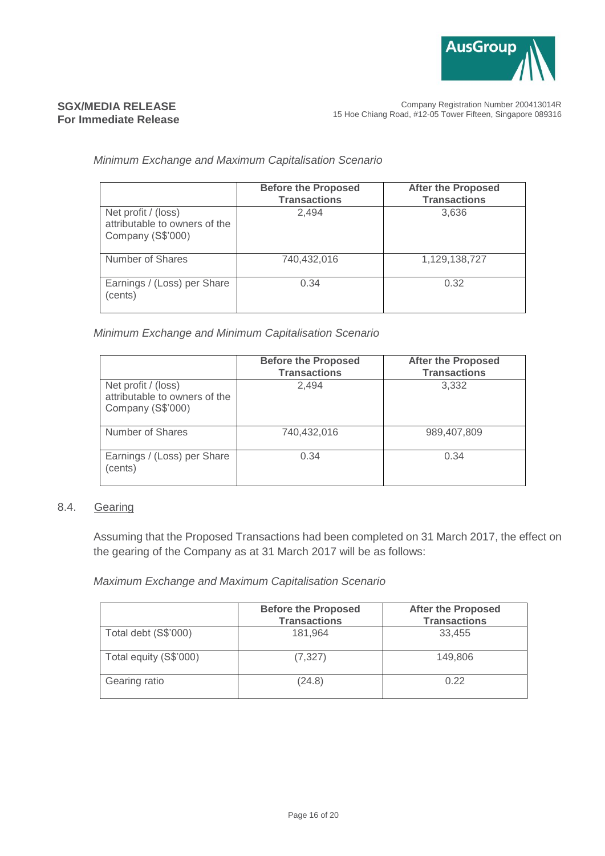

Company Registration Number 200413014R 15 Hoe Chiang Road, #12-05 Tower Fifteen, Singapore 089316

#### *Minimum Exchange and Maximum Capitalisation Scenario*

|                                                                           | <b>Before the Proposed</b><br><b>Transactions</b> | <b>After the Proposed</b><br><b>Transactions</b> |
|---------------------------------------------------------------------------|---------------------------------------------------|--------------------------------------------------|
| Net profit / (loss)<br>attributable to owners of the<br>Company (S\$'000) | 2.494                                             | 3,636                                            |
| Number of Shares                                                          | 740,432,016                                       | 1,129,138,727                                    |
| Earnings / (Loss) per Share<br>(cents)                                    | 0.34                                              | 0.32                                             |

*Minimum Exchange and Minimum Capitalisation Scenario*

|                                                                           | <b>Before the Proposed</b><br><b>Transactions</b> | <b>After the Proposed</b><br><b>Transactions</b> |
|---------------------------------------------------------------------------|---------------------------------------------------|--------------------------------------------------|
| Net profit / (loss)<br>attributable to owners of the<br>Company (S\$'000) | 2.494                                             | 3,332                                            |
| Number of Shares                                                          | 740,432,016                                       | 989,407,809                                      |
| Earnings / (Loss) per Share<br>(cents)                                    | 0.34                                              | 0.34                                             |

## 8.4. Gearing

Assuming that the Proposed Transactions had been completed on 31 March 2017, the effect on the gearing of the Company as at 31 March 2017 will be as follows:

*Maximum Exchange and Maximum Capitalisation Scenario*

|                        | <b>Before the Proposed</b><br><b>Transactions</b> | <b>After the Proposed</b><br><b>Transactions</b> |
|------------------------|---------------------------------------------------|--------------------------------------------------|
| Total debt (S\$'000)   | 181.964                                           | 33,455                                           |
| Total equity (S\$'000) | (7, 327)                                          | 149,806                                          |
| Gearing ratio          | (24.8)                                            | 0.22                                             |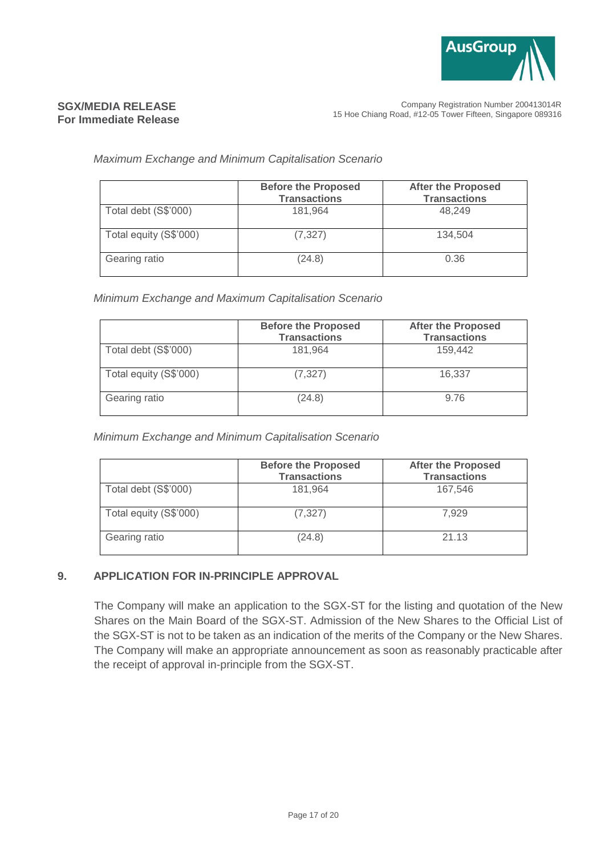

Company Registration Number 200413014R 15 Hoe Chiang Road, #12-05 Tower Fifteen, Singapore 089316

#### *Maximum Exchange and Minimum Capitalisation Scenario*

|                        | <b>Before the Proposed</b><br><b>Transactions</b> | <b>After the Proposed</b><br><b>Transactions</b> |
|------------------------|---------------------------------------------------|--------------------------------------------------|
| Total debt (S\$'000)   | 181.964                                           | 48.249                                           |
| Total equity (S\$'000) | (7, 327)                                          | 134.504                                          |
| Gearing ratio          | (24.8)                                            | 0.36                                             |

#### *Minimum Exchange and Maximum Capitalisation Scenario*

|                        | <b>Before the Proposed</b><br><b>Transactions</b> | <b>After the Proposed</b><br><b>Transactions</b> |
|------------------------|---------------------------------------------------|--------------------------------------------------|
| Total debt (S\$'000)   | 181.964                                           | 159,442                                          |
| Total equity (S\$'000) | (7, 327)                                          | 16,337                                           |
| Gearing ratio          | (24.8)                                            | 9.76                                             |

*Minimum Exchange and Minimum Capitalisation Scenario*

|                        | <b>Before the Proposed</b><br><b>Transactions</b> | <b>After the Proposed</b><br><b>Transactions</b> |
|------------------------|---------------------------------------------------|--------------------------------------------------|
| Total debt (S\$'000)   | 181,964                                           | 167,546                                          |
| Total equity (S\$'000) | (7, 327)                                          | 7.929                                            |
| Gearing ratio          | (24.8)                                            | 21.13                                            |

#### **9. APPLICATION FOR IN-PRINCIPLE APPROVAL**

The Company will make an application to the SGX-ST for the listing and quotation of the New Shares on the Main Board of the SGX-ST. Admission of the New Shares to the Official List of the SGX-ST is not to be taken as an indication of the merits of the Company or the New Shares. The Company will make an appropriate announcement as soon as reasonably practicable after the receipt of approval in-principle from the SGX-ST.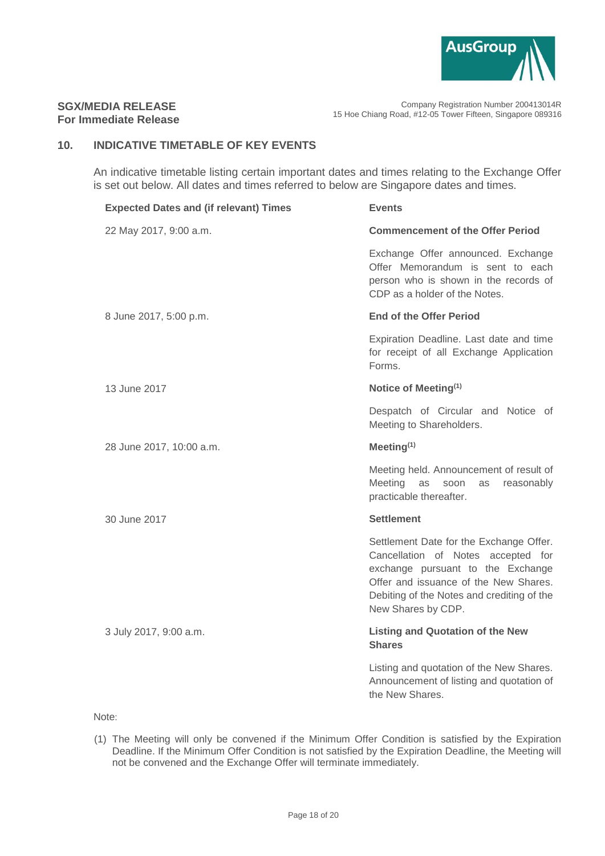

### **SGX/MEDIA RELEASE For Immediate Release**

## **10. INDICATIVE TIMETABLE OF KEY EVENTS**

An indicative timetable listing certain important dates and times relating to the Exchange Offer is set out below. All dates and times referred to below are Singapore dates and times.

| <b>Expected Dates and (if relevant) Times</b> | <b>Events</b>                                                                                                                                                                                                                   |
|-----------------------------------------------|---------------------------------------------------------------------------------------------------------------------------------------------------------------------------------------------------------------------------------|
| 22 May 2017, 9:00 a.m.                        | <b>Commencement of the Offer Period</b>                                                                                                                                                                                         |
|                                               | Exchange Offer announced. Exchange<br>Offer Memorandum is sent to each<br>person who is shown in the records of<br>CDP as a holder of the Notes.                                                                                |
| 8 June 2017, 5:00 p.m.                        | <b>End of the Offer Period</b>                                                                                                                                                                                                  |
|                                               | Expiration Deadline. Last date and time<br>for receipt of all Exchange Application<br>Forms.                                                                                                                                    |
| 13 June 2017                                  | Notice of Meeting <sup>(1)</sup>                                                                                                                                                                                                |
|                                               | Despatch of Circular and Notice of<br>Meeting to Shareholders.                                                                                                                                                                  |
| 28 June 2017, 10:00 a.m.                      | Meeting $(1)$                                                                                                                                                                                                                   |
|                                               | Meeting held. Announcement of result of<br>Meeting<br>as<br>soon<br>reasonably<br>as<br>practicable thereafter.                                                                                                                 |
| 30 June 2017                                  | <b>Settlement</b>                                                                                                                                                                                                               |
|                                               | Settlement Date for the Exchange Offer.<br>Cancellation of Notes accepted for<br>exchange pursuant to the Exchange<br>Offer and issuance of the New Shares.<br>Debiting of the Notes and crediting of the<br>New Shares by CDP. |
| 3 July 2017, 9:00 a.m.                        | <b>Listing and Quotation of the New</b><br><b>Shares</b>                                                                                                                                                                        |
|                                               | Listing and quotation of the New Shares.<br>Announcement of listing and quotation of<br>the New Shares.                                                                                                                         |

Note:

(1) The Meeting will only be convened if the Minimum Offer Condition is satisfied by the Expiration Deadline. If the Minimum Offer Condition is not satisfied by the Expiration Deadline, the Meeting will not be convened and the Exchange Offer will terminate immediately.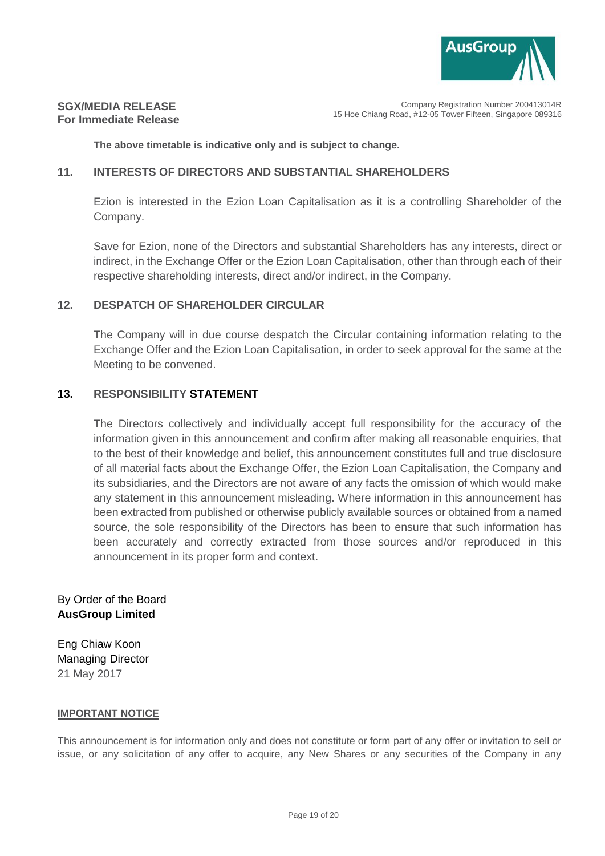

Company Registration Number 200413014R 15 Hoe Chiang Road, #12-05 Tower Fifteen, Singapore 089316

**The above timetable is indicative only and is subject to change.**

### **11. INTERESTS OF DIRECTORS AND SUBSTANTIAL SHAREHOLDERS**

Ezion is interested in the Ezion Loan Capitalisation as it is a controlling Shareholder of the Company.

Save for Ezion, none of the Directors and substantial Shareholders has any interests, direct or indirect, in the Exchange Offer or the Ezion Loan Capitalisation, other than through each of their respective shareholding interests, direct and/or indirect, in the Company.

## **12. DESPATCH OF SHAREHOLDER CIRCULAR**

The Company will in due course despatch the Circular containing information relating to the Exchange Offer and the Ezion Loan Capitalisation, in order to seek approval for the same at the Meeting to be convened.

#### **13. RESPONSIBILITY STATEMENT**

The Directors collectively and individually accept full responsibility for the accuracy of the information given in this announcement and confirm after making all reasonable enquiries, that to the best of their knowledge and belief, this announcement constitutes full and true disclosure of all material facts about the Exchange Offer, the Ezion Loan Capitalisation, the Company and its subsidiaries, and the Directors are not aware of any facts the omission of which would make any statement in this announcement misleading. Where information in this announcement has been extracted from published or otherwise publicly available sources or obtained from a named source, the sole responsibility of the Directors has been to ensure that such information has been accurately and correctly extracted from those sources and/or reproduced in this announcement in its proper form and context.

By Order of the Board **AusGroup Limited**

Eng Chiaw Koon Managing Director 21 May 2017

#### **IMPORTANT NOTICE**

This announcement is for information only and does not constitute or form part of any offer or invitation to sell or issue, or any solicitation of any offer to acquire, any New Shares or any securities of the Company in any